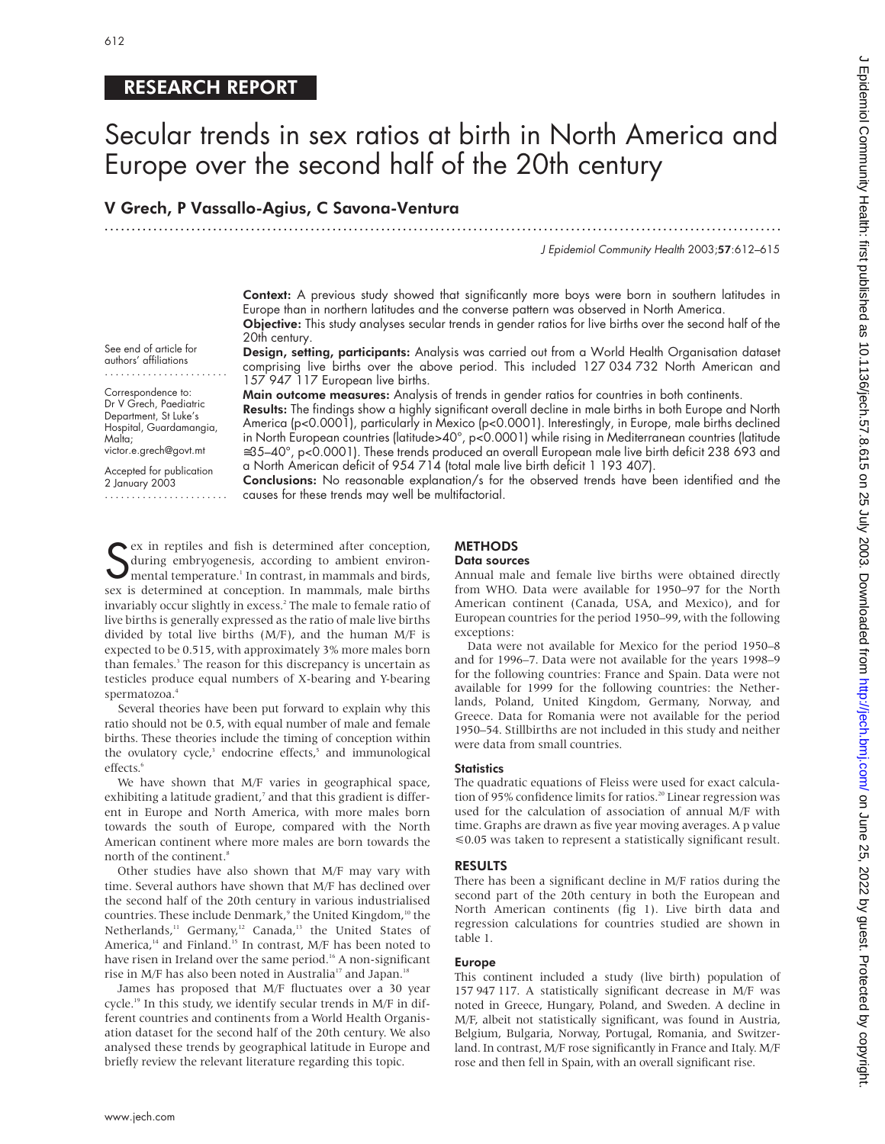## RESEARCH REPORT

# Secular trends in sex ratios at birth in North America and Europe over the second half of the 20th century

.............................................................................................................................

### V Grech, P Vassallo-Agius, C Savona-Ventura

J Epidemiol Community Health 2003;57:612–615

Context: A previous study showed that significantly more boys were born in southern latitudes in Europe than in northern latitudes and the converse pattern was observed in North America. Objective: This study analyses secular trends in gender ratios for live births over the second half of the

See end of article for authors' affiliations

....................... Correspondence to: Dr V Grech, Paediatric Department, St Luke's Hospital, Guardamangia, Malta;

victor.e.grech@govt.mt

Accepted for publication 2 January 2003 .......................

20th century. Design, setting, participants: Analysis was carried out from a World Health Organisation dataset comprising live births over the above period. This included 127 034 732 North American and

157 947 117 European live births. Main outcome measures: Analysis of trends in gender ratios for countries in both continents.

Results: The findings show a highly significant overall decline in male births in both Europe and North America (p<0.0001), particularly in Mexico (p<0.0001). Interestingly, in Europe, male births declined in North European countries (latitude>40°, p<0.0001) while rising in Mediterranean countries (latitude ≅35–40°, p<0.0001). These trends produced an overall European male live birth deficit 238 693 and a North American deficit of 954 714 (total male live birth deficit 1 193 407).

Conclusions: No reasonable explanation/s for the observed trends have been identified and the causes for these trends may well be multifactorial.

Sex in reptiles and fish is determined atter conception,<br>during embryogenesis, according to ambient environ-<br>mental temperature.<sup>1</sup> In contrast, in mammals and birds,<br>sex is determined at conception. In mammals, male birth ex in reptiles and fish is determined after conception, during embryogenesis, according to ambient environmental temperature.<sup>1</sup> In contrast, in mammals and birds, invariably occur slightly in excess.<sup>2</sup> The male to female ratio of live births is generally expressed as the ratio of male live births divided by total live births (M/F), and the human M/F is expected to be 0.515, with approximately 3% more males born than females.<sup>3</sup> The reason for this discrepancy is uncertain as testicles produce equal numbers of X-bearing and Y-bearing spermatozoa.<sup>4</sup>

Several theories have been put forward to explain why this ratio should not be 0.5, with equal number of male and female births. These theories include the timing of conception within the ovulatory cycle,<sup>3</sup> endocrine effects,<sup>5</sup> and immunological effects.<sup>6</sup>

We have shown that M/F varies in geographical space, exhibiting a latitude gradient,<sup>7</sup> and that this gradient is different in Europe and North America, with more males born towards the south of Europe, compared with the North American continent where more males are born towards the north of the continent.<sup>8</sup>

Other studies have also shown that M/F may vary with time. Several authors have shown that M/F has declined over the second half of the 20th century in various industrialised countries. These include Denmark,<sup>9</sup> the United Kingdom,<sup>10</sup> the Netherlands,<sup>11</sup> Germany,<sup>12</sup> Canada,<sup>13</sup> the United States of America,<sup>14</sup> and Finland.<sup>15</sup> In contrast, M/F has been noted to have risen in Ireland over the same period.<sup>16</sup> A non-significant rise in M/F has also been noted in Australia<sup>17</sup> and Japan.<sup>18</sup>

James has proposed that M/F fluctuates over a 30 year cycle.19 In this study, we identify secular trends in M/F in different countries and continents from a World Health Organisation dataset for the second half of the 20th century. We also analysed these trends by geographical latitude in Europe and briefly review the relevant literature regarding this topic.

## **METHODS**

#### Data sources

Annual male and female live births were obtained directly from WHO. Data were available for 1950–97 for the North American continent (Canada, USA, and Mexico), and for European countries for the period 1950–99, with the following exceptions:

Data were not available for Mexico for the period 1950–8 and for 1996–7. Data were not available for the years 1998–9 for the following countries: France and Spain. Data were not available for 1999 for the following countries: the Netherlands, Poland, United Kingdom, Germany, Norway, and Greece. Data for Romania were not available for the period 1950–54. Stillbirths are not included in this study and neither were data from small countries.

#### **Statistics**

The quadratic equations of Fleiss were used for exact calculation of 95% confidence limits for ratios.<sup>20</sup> Linear regression was used for the calculation of association of annual M/F with time. Graphs are drawn as five year moving averages. A p value  $\leq 0.05$  was taken to represent a statistically significant result.

#### RESULTS

There has been a significant decline in M/F ratios during the second part of the 20th century in both the European and North American continents (fig 1). Live birth data and regression calculations for countries studied are shown in table 1.

#### Europe

This continent included a study (live birth) population of 157 947 117. A statistically significant decrease in M/F was noted in Greece, Hungary, Poland, and Sweden. A decline in M/F, albeit not statistically significant, was found in Austria, Belgium, Bulgaria, Norway, Portugal, Romania, and Switzerland. In contrast, M/F rose significantly in France and Italy. M/F rose and then fell in Spain, with an overall significant rise.

www.jech.com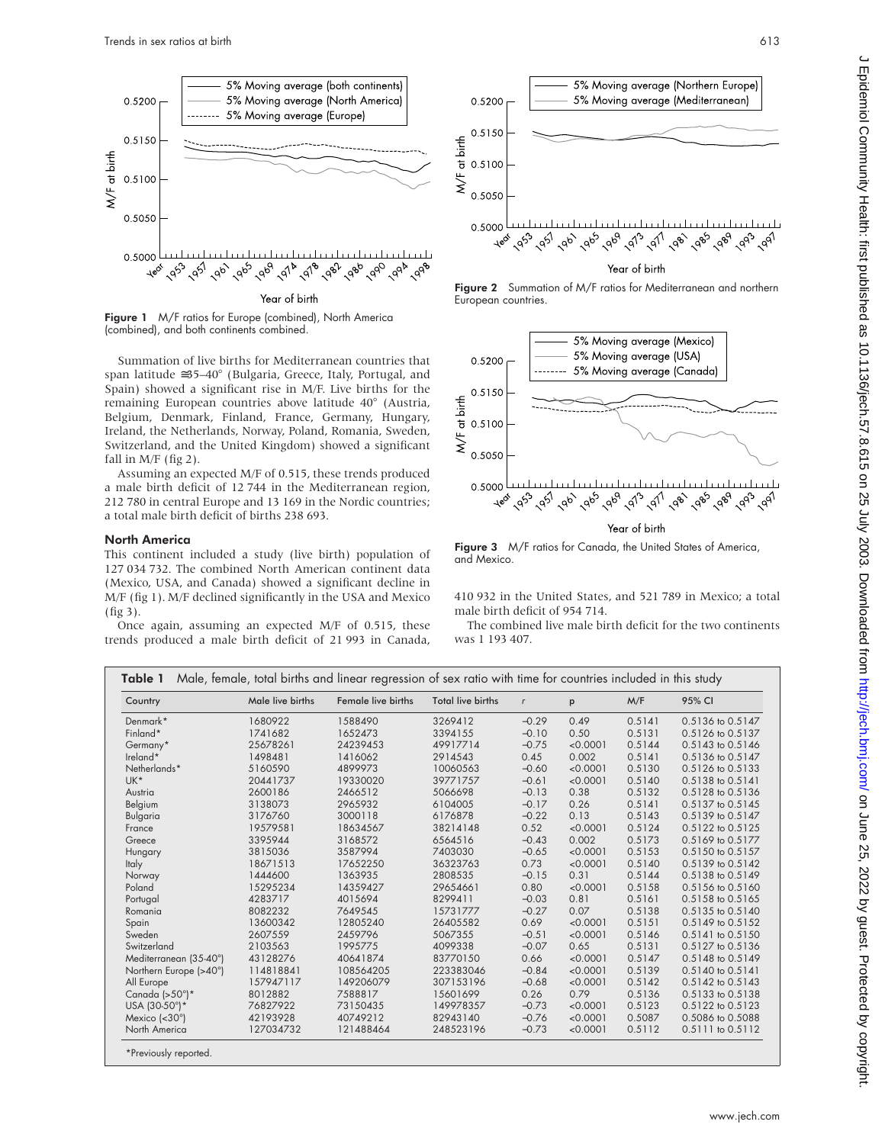

Figure 1 M/F ratios for Europe (combined), North America (combined), and both continents combined.

Summation of live births for Mediterranean countries that span latitude ≅35–40° (Bulgaria, Greece, Italy, Portugal, and Spain) showed a significant rise in M/F. Live births for the remaining European countries above latitude 40° (Austria, Belgium, Denmark, Finland, France, Germany, Hungary, Ireland, the Netherlands, Norway, Poland, Romania, Sweden, Switzerland, and the United Kingdom) showed a significant fall in  $M/F$  (fig 2).

Assuming an expected M/F of 0.515, these trends produced a male birth deficit of 12 744 in the Mediterranean region, 212 780 in central Europe and 13 169 in the Nordic countries; a total male birth deficit of births 238 693.

#### North America

This continent included a study (live birth) population of 127 034 732. The combined North American continent data (Mexico, USA, and Canada) showed a significant decline in M/F (fig 1). M/F declined significantly in the USA and Mexico (fig 3).

Once again, assuming an expected M/F of 0.515, these trends produced a male birth deficit of 21 993 in Canada,



Figure 2 Summation of M/F ratios for Mediterranean and northern European countries.



Figure 3 M/F ratios for Canada, the United States of America, and Mexico.

410 932 in the United States, and 521 789 in Mexico; a total male birth deficit of 954 714.

The combined live male birth deficit for the two continents was 1 193 407.

| Country                | Male live births | Female live births | Total live births | $\mathsf{r}$ | p        | M/F    | 95% CI           |
|------------------------|------------------|--------------------|-------------------|--------------|----------|--------|------------------|
| Denmark*               | 1680922          | 1588490            | 3269412           | $-0.29$      | 0.49     | 0.5141 | 0.5136 to 0.5147 |
| Finland*               | 1741682          | 1652473            | 3394155           | $-0.10$      | 0.50     | 0.5131 | 0.5126 to 0.5137 |
| Germany*               | 25678261         | 24239453           | 49917714          | $-0.75$      | < 0.0001 | 0.5144 | 0.5143 to 0.5146 |
| Ireland*               | 1498481          | 1416062            | 2914543           | 0.45         | 0.002    | 0.5141 | 0.5136 to 0.5147 |
| Netherlands*           | 5160590          | 4899973            | 10060563          | $-0.60$      | < 0.0001 | 0.5130 | 0.5126 to 0.5133 |
| UK*                    | 20441737         | 19330020           | 39771757          | $-0.61$      | < 0.0001 | 0.5140 | 0.5138 to 0.5141 |
| Austria                | 2600186          | 2466512            | 5066698           | $-0.13$      | 0.38     | 0.5132 | 0.5128 to 0.5136 |
| Belgium                | 3138073          | 2965932            | 6104005           | $-0.17$      | 0.26     | 0.5141 | 0.5137 to 0.5145 |
| Bulgaria               | 3176760          | 3000118            | 6176878           | $-0.22$      | 0.13     | 0.5143 | 0.5139 to 0.5147 |
| France                 | 19579581         | 18634567           | 38214148          | 0.52         | < 0.0001 | 0.5124 | 0.5122 to 0.5125 |
| Greece                 | 3395944          | 3168572            | 6564516           | $-0.43$      | 0.002    | 0.5173 | 0.5169 to 0.5177 |
| Hungary                | 3815036          | 3587994            | 7403030           | $-0.65$      | < 0.0001 | 0.5153 | 0.5150 to 0.5157 |
| <b>Italy</b>           | 18671513         | 17652250           | 36323763          | 0.73         | < 0.0001 | 0.5140 | 0.5139 to 0.5142 |
| Norway                 | 1444600          | 1363935            | 2808535           | $-0.15$      | 0.31     | 0.5144 | 0.5138 to 0.5149 |
| Poland                 | 15295234         | 14359427           | 29654661          | 0.80         | < 0.0001 | 0.5158 | 0.5156 to 0.5160 |
| Portugal               | 4283717          | 4015694            | 8299411           | $-0.03$      | 0.81     | 0.5161 | 0.5158 to 0.5165 |
| Romania                | 8082232          | 7649545            | 15731777          | $-0.27$      | 0.07     | 0.5138 | 0.5135 to 0.5140 |
| Spain                  | 13600342         | 12805240           | 26405582          | 0.69         | < 0.0001 | 0.5151 | 0.5149 to 0.5152 |
| Sweden                 | 2607559          | 2459796            | 5067355           | $-0.51$      | < 0.0001 | 0.5146 | 0.5141 to 0.5150 |
| Switzerland            | 2103563          | 1995775            | 4099338           | $-0.07$      | 0.65     | 0.5131 | 0.5127 to 0.5136 |
| Mediterranean (35-40°) | 43128276         | 40641874           | 83770150          | 0.66         | < 0.0001 | 0.5147 | 0.5148 to 0.5149 |
| Northern Europe (>40°) | 114818841        | 108564205          | 223383046         | $-0.84$      | < 0.0001 | 0.5139 | 0.5140 to 0.5141 |
| All Europe             | 157947117        | 149206079          | 307153196         | $-0.68$      | < 0.0001 | 0.5142 | 0.5142 to 0.5143 |
| Canada $(>50^\circ)$ * | 8012882          | 7588817            | 15601699          | 0.26         | 0.79     | 0.5136 | 0.5133 to 0.5138 |
| USA (30-50°)*          | 76827922         | 73150435           | 149978357         | $-0.73$      | < 0.0001 | 0.5123 | 0.5122 to 0.5123 |
| Mexico (<30°)          | 42193928         | 40749212           | 82943140          | $-0.76$      | < 0.0001 | 0.5087 | 0.5086 to 0.5088 |
| North America          | 127034732        | 121488464          | 248523196         | $-0.73$      | < 0.0001 | 0.5112 | 0.5111 to 0.5112 |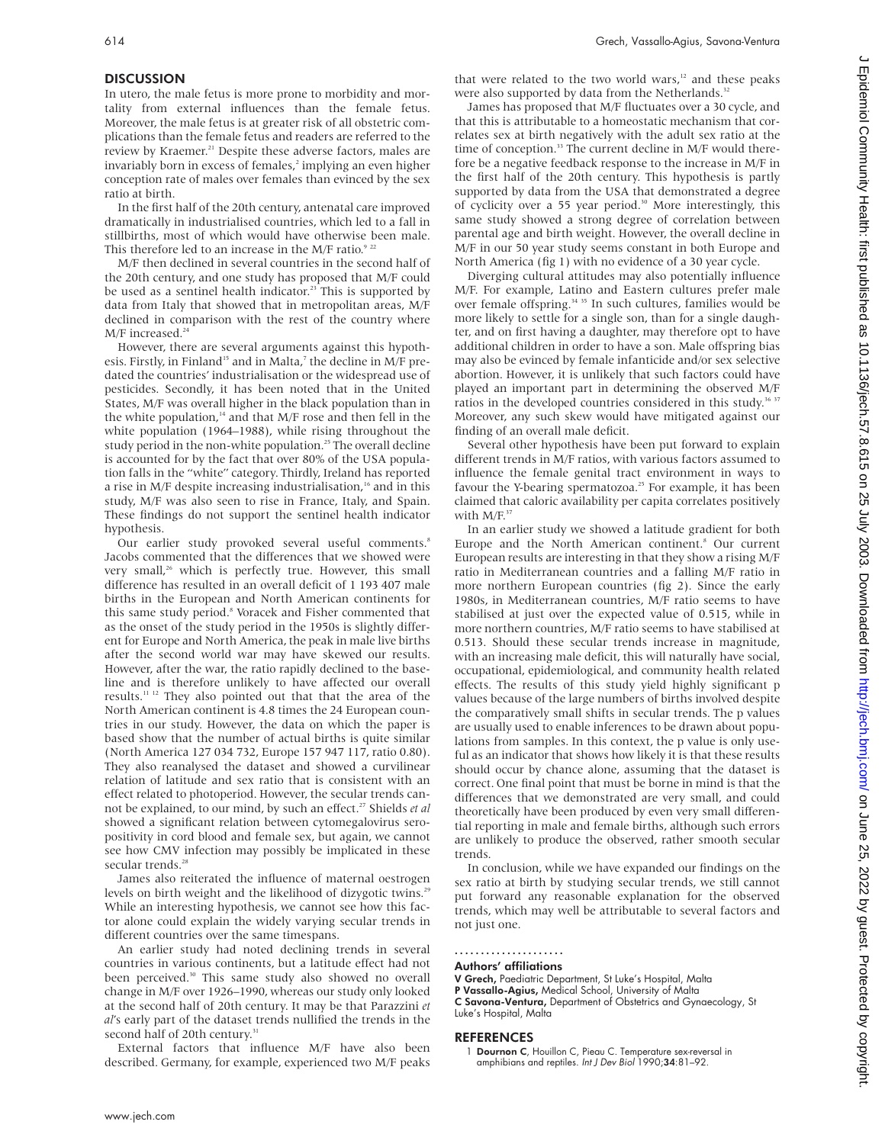Digint. Protected by copyright. Protected by copyright. http://jech.bm/ 2020 boxmloaded from <http://jech.bmj.com/> Dn July 2022 on July 2022 on 2012 on 25, 2022 on 25, 2022 on 25, 2022 on 25 July 2012 on Diginal Community 2 Epidemiol Community Health: first published as 10.11196.2.2 0.11196. Dumbarded from http://jech.bmj.com/ 25003. Downloaded from http://jech.bmj.com/ on 25. 2022 by guest. Protected by right

#### **DISCUSSION**

In utero, the male fetus is more prone to morbidity and mortality from external influences than the female fetus. Moreover, the male fetus is at greater risk of all obstetric complications than the female fetus and readers are referred to the review by Kraemer.<sup>21</sup> Despite these adverse factors, males are invariably born in excess of females,<sup>2</sup> implying an even higher conception rate of males over females than evinced by the sex ratio at birth.

In the first half of the 20th century, antenatal care improved dramatically in industrialised countries, which led to a fall in stillbirths, most of which would have otherwise been male. This therefore led to an increase in the M/F ratio. $922$ 

M/F then declined in several countries in the second half of the 20th century, and one study has proposed that M/F could be used as a sentinel health indicator.<sup>23</sup> This is supported by data from Italy that showed that in metropolitan areas, M/F declined in comparison with the rest of the country where  $\rm M/F$  increased.  $^{24}$ 

However, there are several arguments against this hypothesis. Firstly, in Finland<sup>15</sup> and in Malta,<sup>7</sup> the decline in M/F predated the countries' industrialisation or the widespread use of pesticides. Secondly, it has been noted that in the United States, M/F was overall higher in the black population than in the white population, $^{\rm 14}$  and that M/F rose and then fell in the white population (1964–1988), while rising throughout the study period in the non-white population.<sup>25</sup> The overall decline is accounted for by the fact that over 80% of the USA population falls in the "white" category. Thirdly, Ireland has reported a rise in M/F despite increasing industrialisation,<sup>16</sup> and in this study, M/F was also seen to rise in France, Italy, and Spain. These findings do not support the sentinel health indicator hypothesis.

Our earlier study provoked several useful comments.<sup>8</sup> Jacobs commented that the differences that we showed were very small,<sup>26</sup> which is perfectly true. However, this small difference has resulted in an overall deficit of 1 193 407 male births in the European and North American continents for this same study period.<sup>8</sup> Voracek and Fisher commented that as the onset of the study period in the 1950s is slightly different for Europe and North America, the peak in male live births after the second world war may have skewed our results. However, after the war, the ratio rapidly declined to the baseline and is therefore unlikely to have affected our overall results.11 12 They also pointed out that that the area of the North American continent is 4.8 times the 24 European countries in our study. However, the data on which the paper is based show that the number of actual births is quite similar (North America 127 034 732, Europe 157 947 117, ratio 0.80). They also reanalysed the dataset and showed a curvilinear relation of latitude and sex ratio that is consistent with an effect related to photoperiod. However, the secular trends cannot be explained, to our mind, by such an effect.<sup>27</sup> Shields et al showed a significant relation between cytomegalovirus seropositivity in cord blood and female sex, but again, we cannot see how CMV infection may possibly be implicated in these secular trends.<sup>28</sup>

James also reiterated the influence of maternal oestrogen levels on birth weight and the likelihood of dizygotic twins.<sup>29</sup> While an interesting hypothesis, we cannot see how this factor alone could explain the widely varying secular trends in different countries over the same timespans.

An earlier study had noted declining trends in several countries in various continents, but a latitude effect had not been perceived.<sup>30</sup> This same study also showed no overall change in M/F over 1926–1990, whereas our study only looked at the second half of 20th century. It may be that Parazzini *et al*'s early part of the dataset trends nullified the trends in the second half of 20th century.<sup>31</sup>

External factors that influence M/F have also been described. Germany, for example, experienced two M/F peaks that were related to the two world wars,<sup>12</sup> and these peaks were also supported by data from the Netherlands.<sup>32</sup>

James has proposed that M/F fluctuates over a 30 cycle, and that this is attributable to a homeostatic mechanism that correlates sex at birth negatively with the adult sex ratio at the time of conception.<sup>33</sup> The current decline in M/F would therefore be a negative feedback response to the increase in M/F in the first half of the 20th century. This hypothesis is partly supported by data from the USA that demonstrated a degree of cyclicity over a 55 year period.<sup>30</sup> More interestingly, this same study showed a strong degree of correlation between parental age and birth weight. However, the overall decline in M/F in our 50 year study seems constant in both Europe and North America (fig 1) with no evidence of a 30 year cycle.

Diverging cultural attitudes may also potentially influence M/F. For example, Latino and Eastern cultures prefer male over female offspring.<sup>34 35</sup> In such cultures, families would be more likely to settle for a single son, than for a single daughter, and on first having a daughter, may therefore opt to have additional children in order to have a son. Male offspring bias may also be evinced by female infanticide and/or sex selective abortion. However, it is unlikely that such factors could have played an important part in determining the observed M/F ratios in the developed countries considered in this study.<sup>36 37</sup> Moreover, any such skew would have mitigated against our finding of an overall male deficit.

Several other hypothesis have been put forward to explain different trends in M/F ratios, with various factors assumed to influence the female genital tract environment in ways to favour the Y-bearing spermatozoa.<sup>25</sup> For example, it has been claimed that caloric availability per capita correlates positively with M/F.<sup>37</sup>

In an earlier study we showed a latitude gradient for both Europe and the North American continent.<sup>8</sup> Our current European results are interesting in that they show a rising M/F ratio in Mediterranean countries and a falling M/F ratio in more northern European countries (fig 2). Since the early 1980s, in Mediterranean countries, M/F ratio seems to have stabilised at just over the expected value of 0.515, while in more northern countries, M/F ratio seems to have stabilised at 0.513. Should these secular trends increase in magnitude, with an increasing male deficit, this will naturally have social, occupational, epidemiological, and community health related effects. The results of this study yield highly significant p values because of the large numbers of births involved despite the comparatively small shifts in secular trends. The p values are usually used to enable inferences to be drawn about populations from samples. In this context, the p value is only useful as an indicator that shows how likely it is that these results should occur by chance alone, assuming that the dataset is correct. One final point that must be borne in mind is that the differences that we demonstrated are very small, and could theoretically have been produced by even very small differential reporting in male and female births, although such errors are unlikely to produce the observed, rather smooth secular trends.

In conclusion, while we have expanded our findings on the sex ratio at birth by studying secular trends, we still cannot put forward any reasonable explanation for the observed trends, which may well be attributable to several factors and not just one.

.....................

Authors' affiliations

V Grech, Paediatric Department, St Luke's Hospital, Malta P Vassallo-Agius, Medical School, University of Malta C Savona-Ventura, Department of Obstetrics and Gynaecology, St Luke's Hospital, Malta

#### REFERENCES

1 Dournon C, Houillon C, Pieau C. Temperature sex-reversal in amphibians and reptiles. Int J Dev Biol 1990;34:81–92.